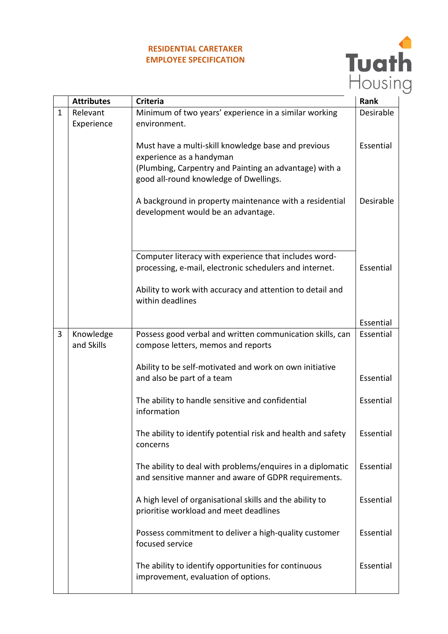## **RESIDENTIAL CARETAKER EMPLOYEE SPECIFICATION**



|              | <b>Attributes</b>       | <b>Criteria</b>                                                                                                                                                                     | Rank      |
|--------------|-------------------------|-------------------------------------------------------------------------------------------------------------------------------------------------------------------------------------|-----------|
| $\mathbf{1}$ | Relevant                | Minimum of two years' experience in a similar working                                                                                                                               | Desirable |
|              | Experience              | environment.                                                                                                                                                                        |           |
|              |                         | Must have a multi-skill knowledge base and previous<br>experience as a handyman<br>(Plumbing, Carpentry and Painting an advantage) with a<br>good all-round knowledge of Dwellings. | Essential |
|              |                         | A background in property maintenance with a residential<br>development would be an advantage.                                                                                       | Desirable |
|              |                         | Computer literacy with experience that includes word-<br>processing, e-mail, electronic schedulers and internet.<br>Ability to work with accuracy and attention to detail and       | Essential |
|              |                         | within deadlines                                                                                                                                                                    |           |
|              |                         |                                                                                                                                                                                     |           |
|              |                         |                                                                                                                                                                                     | Essential |
| 3            | Knowledge<br>and Skills | Possess good verbal and written communication skills, can<br>compose letters, memos and reports                                                                                     | Essential |
|              |                         | Ability to be self-motivated and work on own initiative<br>and also be part of a team                                                                                               | Essential |
|              |                         | The ability to handle sensitive and confidential<br>information                                                                                                                     | Essential |
|              |                         | The ability to identify potential risk and health and safety<br>concerns                                                                                                            | Essential |
|              |                         | The ability to deal with problems/enquires in a diplomatic<br>and sensitive manner and aware of GDPR requirements.                                                                  | Essential |
|              |                         | A high level of organisational skills and the ability to<br>prioritise workload and meet deadlines                                                                                  | Essential |
|              |                         | Possess commitment to deliver a high-quality customer<br>focused service                                                                                                            | Essential |
|              |                         | The ability to identify opportunities for continuous<br>improvement, evaluation of options.                                                                                         | Essential |